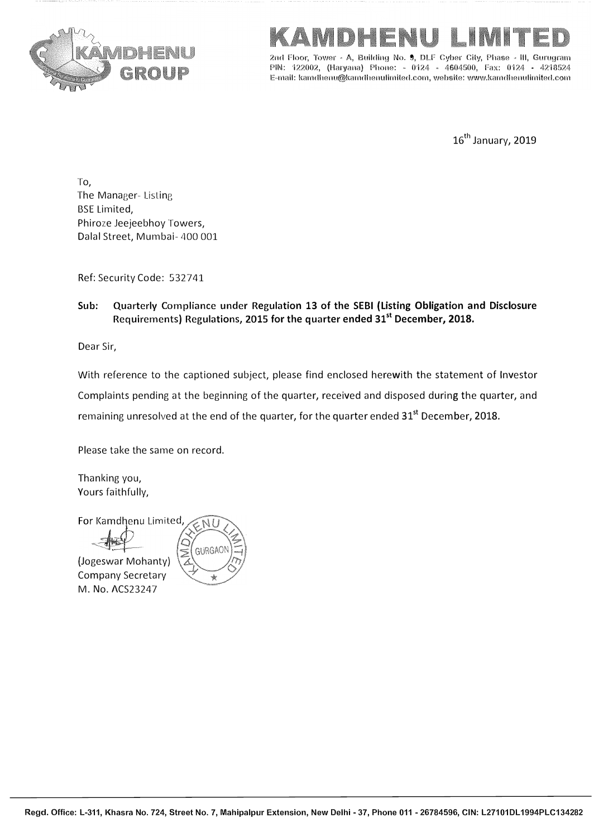



**2nd Floor, Tower " A, Building No. 9, DLF Cyber City, Phase •· Ill, Gurugrarn PIN: 122002, (Haryana) Phone: - 0124 - 4604500, Fax: 0124 - 4218524 E-mail: kamdhenu@kamdhen11limited.com,website:www.kamdhenulimited.com**

16<sup>th</sup> January, 2019

To, The Manager- Listing BSE Limited, Phiroze Jeejeebhoy Towers, Dalal Street, Mumbai- 400 001

Ref: Security Code: 532741

**Sub: Quarterly Compliance under Regulation 13 of the SEBI (Listing Obligation and Disclosure Requirements) Regulations, 2015 for the quarter ended 31st December, 2018.** 

Dear Sir,

With reference to the captioned subject, please find enclosed herewith the statement of Investor Complaints pending at the beginning of the quarter, received and disposed during the quarter, and remaining unresolved at the end of the quarter, for the quarter ended 31**st** December, 2018.

Please take the same on record.

Thanking you, Yours faithfully,

For Kamdhenu Limited

(Jogeswar Mohanty)

Company Secretary M. No. ACS23247

GURGA